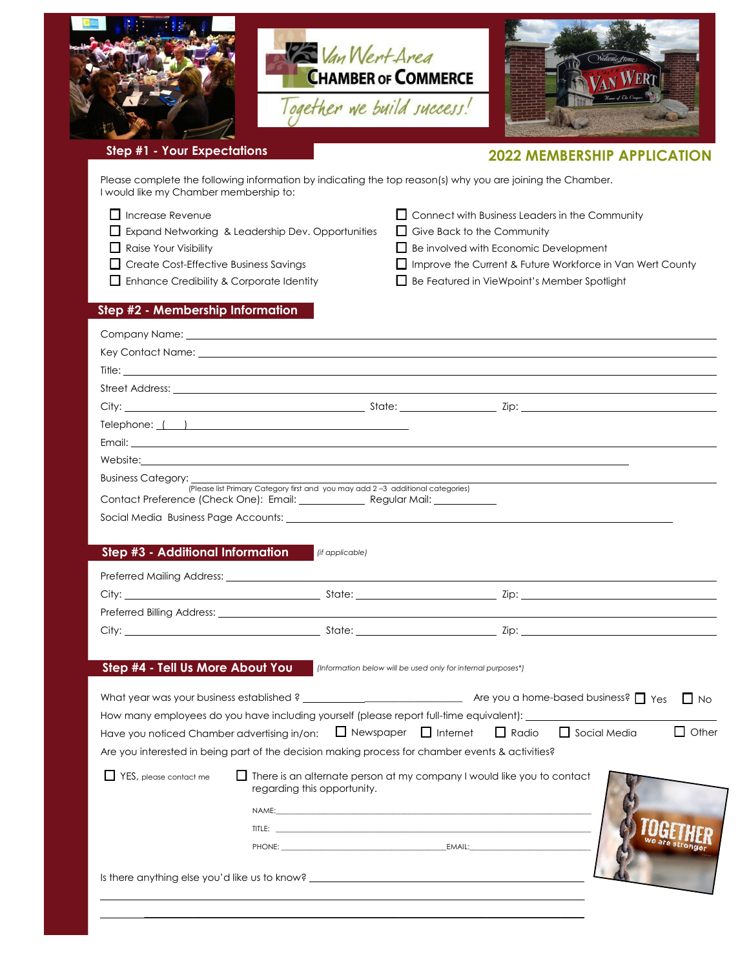

## **2022 MEMBERSHIP APPLICATION**

Please complete the following information by indicating the top reason(s) why you are joining the Chamber. I would like my Chamber membership to:

| $\Box$ Increase Revenue<br>Expand Networking & Leadership Dev. Opportunities<br>Raise Your Visibility<br>Create Cost-Effective Business Savings<br>Enhance Credibility & Corporate Identity                                                                                                                                                                                                                                                                                        | $\Box$ Connect with Business Leaders in the Community<br>$\Box$ Give Back to the Community<br>Be involved with Economic Development<br>Improve the Current & Future Workforce in Van Wert County<br>Be Featured in VieWpoint's Member Spotlight                                                                                                       |
|------------------------------------------------------------------------------------------------------------------------------------------------------------------------------------------------------------------------------------------------------------------------------------------------------------------------------------------------------------------------------------------------------------------------------------------------------------------------------------|-------------------------------------------------------------------------------------------------------------------------------------------------------------------------------------------------------------------------------------------------------------------------------------------------------------------------------------------------------|
| Step #2 - Membership Information                                                                                                                                                                                                                                                                                                                                                                                                                                                   |                                                                                                                                                                                                                                                                                                                                                       |
|                                                                                                                                                                                                                                                                                                                                                                                                                                                                                    |                                                                                                                                                                                                                                                                                                                                                       |
|                                                                                                                                                                                                                                                                                                                                                                                                                                                                                    | Key Contact Name: New York Contact Name: New York Contact Name: New York Contact Name: New York Contact Name: New York Contact Name: New York Contact Name: New York Contact Name: New York Contact Name: New York Contact Nam                                                                                                                        |
|                                                                                                                                                                                                                                                                                                                                                                                                                                                                                    |                                                                                                                                                                                                                                                                                                                                                       |
|                                                                                                                                                                                                                                                                                                                                                                                                                                                                                    |                                                                                                                                                                                                                                                                                                                                                       |
|                                                                                                                                                                                                                                                                                                                                                                                                                                                                                    |                                                                                                                                                                                                                                                                                                                                                       |
| $\text{Telephone: } \qquad \qquad \text{1} \qquad \qquad \text{1} \qquad \qquad \text{1} \qquad \qquad \text{2} \qquad \qquad \text{2} \qquad \qquad \text{3} \qquad \qquad \text{4} \qquad \qquad \text{5} \qquad \qquad \text{6} \qquad \qquad \text{6} \qquad \qquad \text{7} \qquad \qquad \text{8} \qquad \qquad \text{8} \qquad \qquad \text{9} \qquad \qquad \text{1} \qquad \qquad \text{1} \qquad \qquad \text{1} \qquad \qquad \text{1} \qquad \qquad \text{1} \qquad \$ |                                                                                                                                                                                                                                                                                                                                                       |
|                                                                                                                                                                                                                                                                                                                                                                                                                                                                                    |                                                                                                                                                                                                                                                                                                                                                       |
| Business Category: _____                                                                                                                                                                                                                                                                                                                                                                                                                                                           |                                                                                                                                                                                                                                                                                                                                                       |
|                                                                                                                                                                                                                                                                                                                                                                                                                                                                                    | :<br>(Please list Primary Category first and you may add 2 –3 additional categories)                                                                                                                                                                                                                                                                  |
| Contact Preference (Check One): Email: _______________ Regular Mail: ___________                                                                                                                                                                                                                                                                                                                                                                                                   |                                                                                                                                                                                                                                                                                                                                                       |
|                                                                                                                                                                                                                                                                                                                                                                                                                                                                                    |                                                                                                                                                                                                                                                                                                                                                       |
| <b>Step #3 - Additional Information</b>                                                                                                                                                                                                                                                                                                                                                                                                                                            | (if applicable)                                                                                                                                                                                                                                                                                                                                       |
|                                                                                                                                                                                                                                                                                                                                                                                                                                                                                    |                                                                                                                                                                                                                                                                                                                                                       |
|                                                                                                                                                                                                                                                                                                                                                                                                                                                                                    |                                                                                                                                                                                                                                                                                                                                                       |
|                                                                                                                                                                                                                                                                                                                                                                                                                                                                                    |                                                                                                                                                                                                                                                                                                                                                       |
|                                                                                                                                                                                                                                                                                                                                                                                                                                                                                    |                                                                                                                                                                                                                                                                                                                                                       |
|                                                                                                                                                                                                                                                                                                                                                                                                                                                                                    |                                                                                                                                                                                                                                                                                                                                                       |
| Step #4 - Tell Us More About You (Information below will be used only for internal purposes*)                                                                                                                                                                                                                                                                                                                                                                                      |                                                                                                                                                                                                                                                                                                                                                       |
|                                                                                                                                                                                                                                                                                                                                                                                                                                                                                    | $\Box$ No<br>How many employees do you have including yourself (please report full-time equivalent): ___________<br>$\Box$ Other<br>Have you noticed Chamber advertising in/on: $\Box$ Newspaper $\Box$ Internet $\Box$ Radio $\Box$ Social Media<br>Are you interested in being part of the decision making process for chamber events & activities? |
|                                                                                                                                                                                                                                                                                                                                                                                                                                                                                    |                                                                                                                                                                                                                                                                                                                                                       |
| YES, please contact me<br>regarding this opportunity.                                                                                                                                                                                                                                                                                                                                                                                                                              | $\Box$ There is an alternate person at my company I would like you to contact                                                                                                                                                                                                                                                                         |
|                                                                                                                                                                                                                                                                                                                                                                                                                                                                                    |                                                                                                                                                                                                                                                                                                                                                       |
|                                                                                                                                                                                                                                                                                                                                                                                                                                                                                    | TITLE: And the contract of the contract of the contract of the contract of the contract of the contract of the                                                                                                                                                                                                                                        |
|                                                                                                                                                                                                                                                                                                                                                                                                                                                                                    | PHONE: EMAIL: EMAIL:                                                                                                                                                                                                                                                                                                                                  |
| Is there anything else you'd like us to know? __________________________________                                                                                                                                                                                                                                                                                                                                                                                                   |                                                                                                                                                                                                                                                                                                                                                       |